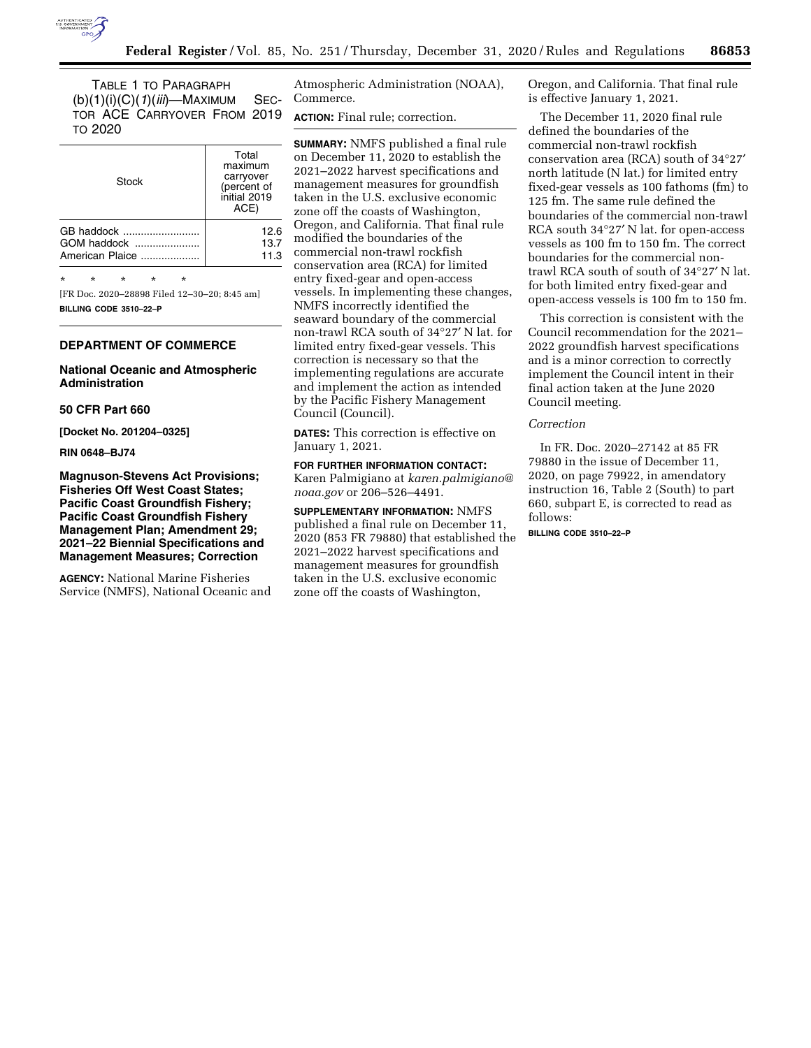

TABLE 1 TO PARAGRAPH (b)(1)(i)(C)(*1*)(*iii*)—MAXIMUM SEC-TOR ACE CARRYOVER FROM 2019 TO 2020

| Total<br>maximum<br>carryover<br>(percent of<br>initial 2019<br>ACE) |  |  |  |  |
|----------------------------------------------------------------------|--|--|--|--|
| 12.6                                                                 |  |  |  |  |
| 13.7                                                                 |  |  |  |  |
| 11.3                                                                 |  |  |  |  |
|                                                                      |  |  |  |  |

\* \* \* \* \*

[FR Doc. 2020–28898 Filed 12–30–20; 8:45 am] **BILLING CODE 3510–22–P** 

### **DEPARTMENT OF COMMERCE**

## **National Oceanic and Atmospheric Administration**

### **50 CFR Part 660**

**[Docket No. 201204–0325]** 

#### **RIN 0648–BJ74**

**Magnuson-Stevens Act Provisions; Fisheries Off West Coast States; Pacific Coast Groundfish Fishery; Pacific Coast Groundfish Fishery Management Plan; Amendment 29; 2021–22 Biennial Specifications and Management Measures; Correction** 

**AGENCY:** National Marine Fisheries Service (NMFS), National Oceanic and

Atmospheric Administration (NOAA), Commerce.

**ACTION:** Final rule; correction.

**SUMMARY:** NMFS published a final rule on December 11, 2020 to establish the 2021–2022 harvest specifications and management measures for groundfish taken in the U.S. exclusive economic zone off the coasts of Washington, Oregon, and California. That final rule modified the boundaries of the commercial non-trawl rockfish conservation area (RCA) for limited entry fixed-gear and open-access vessels. In implementing these changes, NMFS incorrectly identified the seaward boundary of the commercial non-trawl RCA south of 34°27′ N lat. for limited entry fixed-gear vessels. This correction is necessary so that the implementing regulations are accurate and implement the action as intended by the Pacific Fishery Management Council (Council).

**DATES:** This correction is effective on January 1, 2021.

**FOR FURTHER INFORMATION CONTACT:**  Karen Palmigiano at *[karen.palmigiano@](mailto:karen.palmigiano@noaa.gov) [noaa.gov](mailto:karen.palmigiano@noaa.gov)* or 206–526–4491.

**SUPPLEMENTARY INFORMATION:** NMFS published a final rule on December 11, 2020 (853 FR 79880) that established the 2021–2022 harvest specifications and management measures for groundfish taken in the U.S. exclusive economic zone off the coasts of Washington,

Oregon, and California. That final rule is effective January 1, 2021.

The December 11, 2020 final rule defined the boundaries of the commercial non-trawl rockfish conservation area (RCA) south of 34°27′ north latitude (N lat.) for limited entry fixed-gear vessels as 100 fathoms (fm) to 125 fm. The same rule defined the boundaries of the commercial non-trawl RCA south 34°27′ N lat. for open-access vessels as 100 fm to 150 fm. The correct boundaries for the commercial nontrawl RCA south of south of 34°27′ N lat. for both limited entry fixed-gear and open-access vessels is 100 fm to 150 fm.

This correction is consistent with the Council recommendation for the 2021– 2022 groundfish harvest specifications and is a minor correction to correctly implement the Council intent in their final action taken at the June 2020 Council meeting.

# *Correction*

In FR. Doc. 2020–27142 at 85 FR 79880 in the issue of December 11, 2020, on page 79922, in amendatory instruction 16, Table 2 (South) to part 660, subpart E, is corrected to read as follows:

**BILLING CODE 3510–22–P**